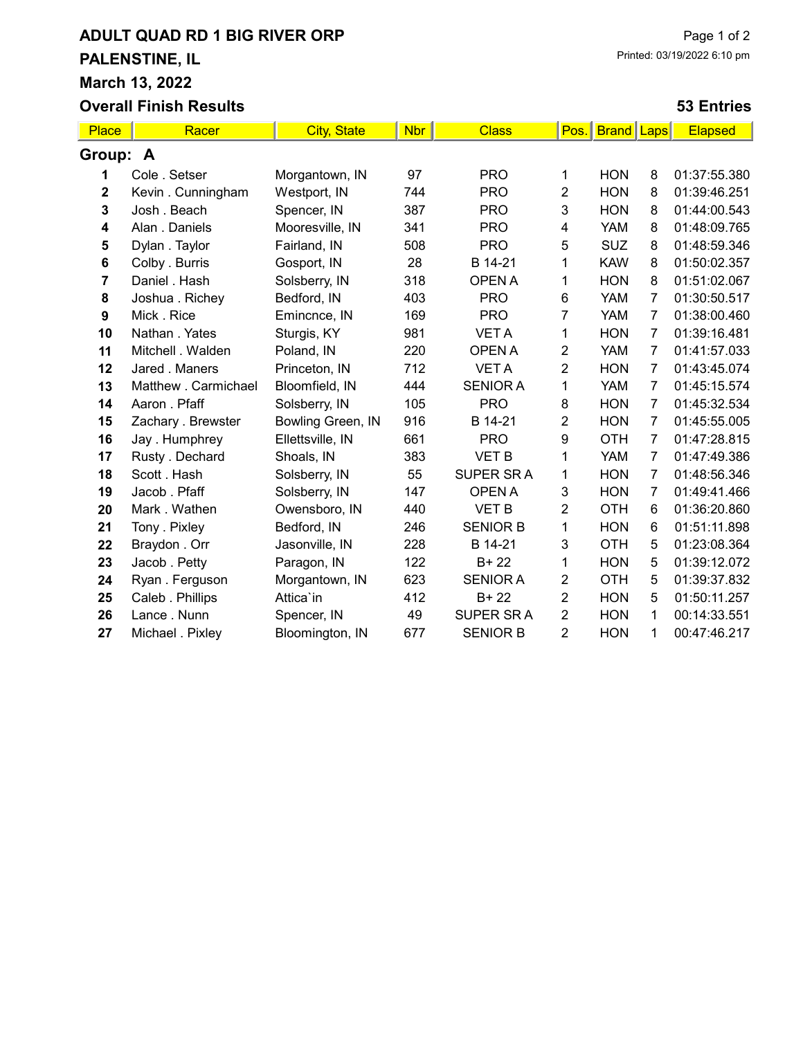# ADULT QUAD RD 1 BIG RIVER ORP PALENSTINE, IL March 13, 2022 Overall Finish Results

### Page 1 of 2 Printed: 03/19/2022 6:10 pm

#### 53 Entries

| Place       | Racer                | <b>City, State</b> | <b>Nbr</b> | <b>Class</b>    | Pos.           | <b>Brand Laps</b> |                | <b>Elapsed</b> |
|-------------|----------------------|--------------------|------------|-----------------|----------------|-------------------|----------------|----------------|
| Group: A    |                      |                    |            |                 |                |                   |                |                |
| 1           | Cole . Setser        | Morgantown, IN     | 97         | <b>PRO</b>      | 1              | <b>HON</b>        | 8              | 01:37:55.380   |
| $\mathbf 2$ | Kevin . Cunningham   | Westport, IN       | 744        | <b>PRO</b>      | 2              | <b>HON</b>        | 8              | 01:39:46.251   |
| 3           | Josh . Beach         | Spencer, IN        | 387        | <b>PRO</b>      | 3              | <b>HON</b>        | 8              | 01:44:00.543   |
| 4           | Alan . Daniels       | Mooresville, IN    | 341        | <b>PRO</b>      | 4              | <b>YAM</b>        | 8              | 01:48:09.765   |
| 5           | Dylan. Taylor        | Fairland, IN       | 508        | <b>PRO</b>      | 5              | <b>SUZ</b>        | 8              | 01:48:59.346   |
| 6           | Colby . Burris       | Gosport, IN        | 28         | B 14-21         | 1              | <b>KAW</b>        | 8              | 01:50:02.357   |
| 7           | Daniel . Hash        | Solsberry, IN      | 318        | <b>OPEN A</b>   | 1              | <b>HON</b>        | 8              | 01:51:02.067   |
| 8           | Joshua . Richey      | Bedford, IN        | 403        | <b>PRO</b>      | $\,6$          | <b>YAM</b>        | $\overline{7}$ | 01:30:50.517   |
| 9           | Mick. Rice           | Emincnce, IN       | 169        | <b>PRO</b>      | 7              | <b>YAM</b>        | $\overline{7}$ | 01:38:00.460   |
| 10          | Nathan . Yates       | Sturgis, KY        | 981        | <b>VETA</b>     | 1              | <b>HON</b>        | $\overline{7}$ | 01:39:16.481   |
| 11          | Mitchell . Walden    | Poland, IN         | 220        | <b>OPEN A</b>   | 2              | <b>YAM</b>        | 7              | 01:41:57.033   |
| 12          | Jared . Maners       | Princeton, IN      | 712        | <b>VETA</b>     | $\overline{2}$ | <b>HON</b>        | $\overline{7}$ | 01:43:45.074   |
| 13          | Matthew . Carmichael | Bloomfield, IN     | 444        | <b>SENIOR A</b> | 1              | <b>YAM</b>        | 7              | 01:45:15.574   |
| 14          | Aaron . Pfaff        | Solsberry, IN      | 105        | <b>PRO</b>      | 8              | <b>HON</b>        | $\overline{7}$ | 01:45:32.534   |
| 15          | Zachary . Brewster   | Bowling Green, IN  | 916        | B 14-21         | 2              | <b>HON</b>        | $\overline{7}$ | 01:45:55.005   |
| 16          | Jay. Humphrey        | Ellettsville, IN   | 661        | <b>PRO</b>      | 9              | <b>OTH</b>        | $\overline{7}$ | 01:47:28.815   |
| 17          | Rusty . Dechard      | Shoals, IN         | 383        | VET B           | 1              | <b>YAM</b>        | $\overline{7}$ | 01:47:49.386   |
| 18          | Scott . Hash         | Solsberry, IN      | 55         | SUPER SRA       | 1              | <b>HON</b>        | 7              | 01:48:56.346   |
| 19          | Jacob. Pfaff         | Solsberry, IN      | 147        | <b>OPEN A</b>   | 3              | <b>HON</b>        | $\overline{7}$ | 01:49:41.466   |
| 20          | Mark. Wathen         | Owensboro, IN      | 440        | <b>VET B</b>    | 2              | <b>OTH</b>        | 6              | 01:36:20.860   |
| 21          | Tony . Pixley        | Bedford, IN        | 246        | <b>SENIOR B</b> | 1              | <b>HON</b>        | 6              | 01:51:11.898   |
| 22          | Braydon. Orr         | Jasonville, IN     | 228        | B 14-21         | 3              | <b>OTH</b>        | 5              | 01:23:08.364   |
| 23          | Jacob. Petty         | Paragon, IN        | 122        | $B + 22$        | 1              | <b>HON</b>        | 5              | 01:39:12.072   |
| 24          | Ryan. Ferguson       | Morgantown, IN     | 623        | <b>SENIOR A</b> | 2              | <b>OTH</b>        | 5              | 01:39:37.832   |
| 25          | Caleb . Phillips     | Attica'in          | 412        | $B + 22$        | $\overline{2}$ | <b>HON</b>        | 5              | 01:50:11.257   |
| 26          | Lance . Nunn         | Spencer, IN        | 49         | SUPER SR A      | 2              | <b>HON</b>        | $\mathbf{1}$   | 00:14:33.551   |
| 27          | Michael . Pixley     | Bloomington, IN    | 677        | <b>SENIOR B</b> | $\overline{2}$ | <b>HON</b>        | 1              | 00:47:46.217   |